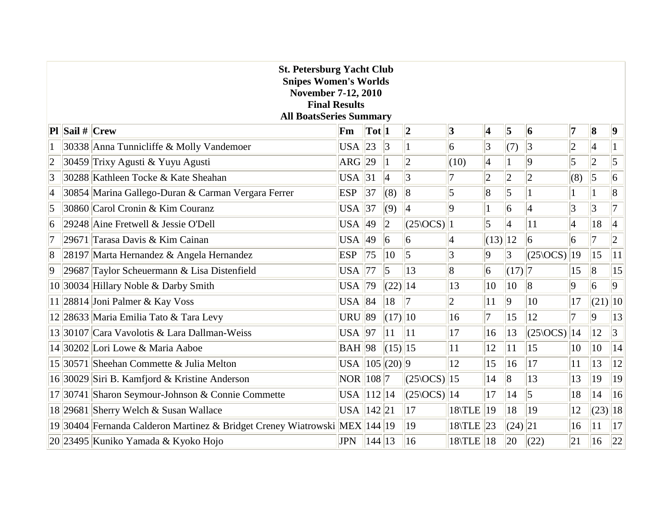| <b>St. Petersburg Yacht Club</b><br><b>Snipes Women's Worlds</b><br><b>November 7-12, 2010</b><br><b>Final Results</b><br><b>All BoatsSeries Summary</b> |                         |                                                                            |                    |                            |                       |                                          |                 |                 |                         |                                          |                 |                         |                  |
|----------------------------------------------------------------------------------------------------------------------------------------------------------|-------------------------|----------------------------------------------------------------------------|--------------------|----------------------------|-----------------------|------------------------------------------|-----------------|-----------------|-------------------------|------------------------------------------|-----------------|-------------------------|------------------|
|                                                                                                                                                          | <b>Pl</b> Sail $#$ Crew |                                                                            | Fm                 | $\vert \text{Tot} \vert 1$ |                       | 2                                        | 3               | 4               | $\overline{\mathbf{5}}$ | 6                                        | 7               | $\vert 8$               | $\boldsymbol{9}$ |
|                                                                                                                                                          |                         | 30338 Anna Tunnicliffe & Molly Vandemoer                                   | USA $ 23$          |                            | 3                     |                                          | $\vert 6 \vert$ | $\vert 3 \vert$ | (7)                     | 3                                        | $ 2\rangle$     | $\vert 4$               |                  |
| $ 2\>$                                                                                                                                                   |                         | 30459 Trixy Agusti & Yuyu Agusti                                           | ARG $ 29$          |                            |                       | $ 2\rangle$                              | (10)            | $\vert 4$       | 1                       | $ 9\rangle$                              | 5               | 2                       | $\vert$ 5        |
| 3                                                                                                                                                        |                         | 30288 Kathleen Tocke & Kate Sheahan                                        | $USA$ 31           |                            | $\vert 4 \vert$       | 3                                        | 7               | $ 2\rangle$     | $\overline{c}$          | $ 2\rangle$                              | (8)             | $\overline{\mathbf{5}}$ | 6                |
| $\vert 4$                                                                                                                                                |                         | 30854 Marina Gallego-Duran & Carman Vergara Ferrer                         | <b>ESP</b>         | 37                         | (8)                   | 8                                        | $\vert 5 \vert$ | $\overline{8}$  | 5                       |                                          |                 |                         | $\overline{8}$   |
| $\vert 5 \vert$                                                                                                                                          |                         | 30860 Carol Cronin & Kim Couranz                                           | USA $ 37$          |                            | (9)                   | $\vert 4$                                | 9               |                 | 6                       | $\vert 4 \vert$                          | $\overline{3}$  | 3                       | 7                |
| 6                                                                                                                                                        |                         | 29248 Aine Fretwell & Jessie O'Dell                                        | USA $ 49$          |                            | $ 2\rangle$           | (25 OCS) 1                               |                 | $\overline{5}$  | $\overline{4}$          | 11                                       | $\vert 4 \vert$ | 18                      | $\vert 4 \vert$  |
| $ 7\>$                                                                                                                                                   |                         | 29671 Tarasa Davis & Kim Cainan                                            | USA                | 49                         | $\overline{6}$        | $\overline{6}$                           | $\vert 4$       | $(13)$   12     |                         | 6                                        | $\overline{6}$  | 7                       | 2                |
| $\vert 8$                                                                                                                                                |                         | 28197 Marta Hernandez & Angela Hernandez                                   | <b>ESP</b>         | 75                         | $ 10\rangle$          | $\overline{5}$                           | 3               | $\overline{9}$  | $\vert 3 \vert$         | $(25\angle OCS)$                         | 19              | 15                      | 11               |
| $ 9\rangle$                                                                                                                                              |                         | 29687 Taylor Scheuermann & Lisa Distenfield                                | <b>USA</b>         | 77                         | $\overline{5}$        | 13                                       | $\overline{8}$  | $\overline{6}$  | $(17)$ 7                |                                          | 15              | 8                       | 15               |
|                                                                                                                                                          |                         | 10 30034 Hillary Noble & Darby Smith                                       | $USA$  79          |                            | $(22)$  14            |                                          | 13              | 10              | $ 10\rangle$            | $\vert 8$                                | $\overline{9}$  | 6                       | $\vert$ 9        |
|                                                                                                                                                          |                         | $ 11 $ 28814 Joni Palmer & Kay Voss                                        | USA $ 84$          |                            | 18                    | 17                                       | $ 2\rangle$     | 11              | $\overline{9}$          | 10                                       | 17              | $(21)$ 10               |                  |
|                                                                                                                                                          |                         | 12 28633 Maria Emilia Tato & Tara Levy                                     | $URU$ 89           |                            | $(17)$  10            |                                          | 16              | 7               | 15                      | 12                                       | 7               | $\overline{9}$          | 13               |
|                                                                                                                                                          |                         | 13 30107 Cara Vavolotis & Lara Dallman-Weiss                               | USA $ 97$          |                            | 11                    | 11                                       | 17              | 16              | 13                      | $\left  \frac{25\text{OCS}}{14} \right $ |                 | 12                      | 3                |
|                                                                                                                                                          |                         | 14 30202 Lori Lowe & Maria Aaboe                                           | $BAH$  98          |                            | $\vert (15) \vert 15$ |                                          | 11              | 12              | 11                      | 15                                       | 10              | 10                      | 14               |
|                                                                                                                                                          |                         | 15 30571 Sheehan Commette & Julia Melton                                   | USA $ 105 $ (20) 9 |                            |                       |                                          | 12              | 15              | 16                      | 17                                       | 11              | 13                      | 12               |
|                                                                                                                                                          |                         | 16 30029 Siri B. Kamfjord & Kristine Anderson                              | $NOR$   108   7    |                            |                       | $\left  \frac{25\text{OCS}}{15} \right $ |                 | 14              | $\overline{8}$          | 13                                       | 13              | 19                      | 19               |
|                                                                                                                                                          |                         | 17 30741 Sharon Seymour-Johnson & Connie Commette                          | USA   112  14      |                            |                       | $\left  \frac{25}{0CS} \right  14$       |                 | 17              | 14                      | $\vert$ 5                                | 18              | 14                      | 16               |
|                                                                                                                                                          |                         | 18 29681 Sherry Welch & Susan Wallace                                      | USA    142    21   |                            |                       | 17                                       | $18$ TLE        | 19              | 18                      | 19                                       | 12              | $(23)$  18              |                  |
|                                                                                                                                                          |                         | 19 30404 Fernanda Calderon Martinez & Bridget Creney Wiatrowski MEX 144 19 |                    |                            |                       | 19                                       | $18$ TLE 23     |                 | (24) 21                 |                                          | 16              | 11                      | 17               |
|                                                                                                                                                          |                         | 20 23495 Kuniko Yamada & Kyoko Hojo                                        | <b>JPN</b>         | 144  13                    |                       | 16                                       | $18$ TLE $ 18$  |                 | 20                      | (22)                                     | 21              | 16                      | 22               |